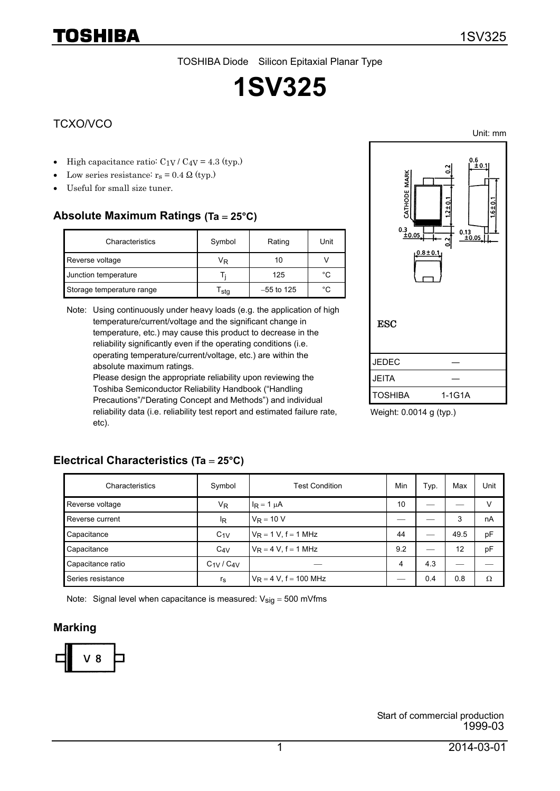TOSHIBA Diode Silicon Epitaxial Planar Type

# **1SV325**

### TCXO/VCO

TOSHIBA

- High capacitance ratio:  $C_1V$  /  $C_4V = 4.3$  (typ.)
- Low series resistance:  $r_s = 0.4 \Omega$  (typ.)
- Useful for small size tuner.

# **Absolute Maximum Ratings (Ta** = **25°C)**

**Electrical Characteristics (Ta** = **25°C)**

| Characteristics           | Symbol | Rating       | Unit |
|---------------------------|--------|--------------|------|
| Reverse voltage           | VR     | 10           |      |
| Junction temperature      |        | 125          | °C   |
| Storage temperature range | ∘sta   | $-55$ to 125 | °C   |

Note: Using continuously under heavy loads (e.g. the application of high temperature/current/voltage and the significant change in temperature, etc.) may cause this product to decrease in the reliability significantly even if the operating conditions (i.e. operating temperature/current/voltage, etc.) are within the absolute maximum ratings.

Please design the appropriate reliability upon reviewing the Toshiba Semiconductor Reliability Handbook ("Handling Precautions"/"Derating Concept and Methods") and individual reliability data (i.e. reliability test report and estimated failure rate, etc).



Weight: 0.0014 g (typ.)

# Characteristics | Symbol | Test Condition | Min | Typ. | Max | Unit Reverse voltage  $V_{\mathsf{R}}$   $V_{\mathsf{R}}$   $V_{\mathsf{R}}$   $V_{\mathsf{R}}$   $V_{\mathsf{R}}$   $V_{\mathsf{R}}$   $V_{\mathsf{R}}$   $V_{\mathsf{R}}$   $V_{\mathsf{R}}$   $V_{\mathsf{R}}$   $V_{\mathsf{R}}$   $V_{\mathsf{R}}$   $V_{\mathsf{R}}$   $V_{\mathsf{R}}$   $V_{\mathsf{R}}$   $V_{\mathsf{R}}$   $V_{\mathsf{R}}$   $V_{\mathsf{R}}$   $V_{\mathsf{$ Reverse current  $I_{\mathsf{R}}$   $|V_{\mathsf{R}}=10 \text{ V}$   $-1$   $-1$  3 nA Capacitance  $C_1V_R = 1 V, f = 1 MHz$  44  $-$  49.5 pF Capacitance  $C_{4V}$   $V_{R} = 4 V, f = 1 MHz$  9.2  $1 - 12$  pF Capacitance ratio  $C_{1V}/C_{4V}$   $4$  4.3 Series resistance  $\vert$  r<sub>s</sub>  $\vert$  V<sub>R</sub> = 4 V, f = 100 MHz  $\vert$   $\vert$  0.4  $\vert$  0.8  $\vert$   $\Omega$

Note: Signal level when capacitance is measured:  $V_{sig} = 500$  mVfms

#### **Marking**



Unit: mm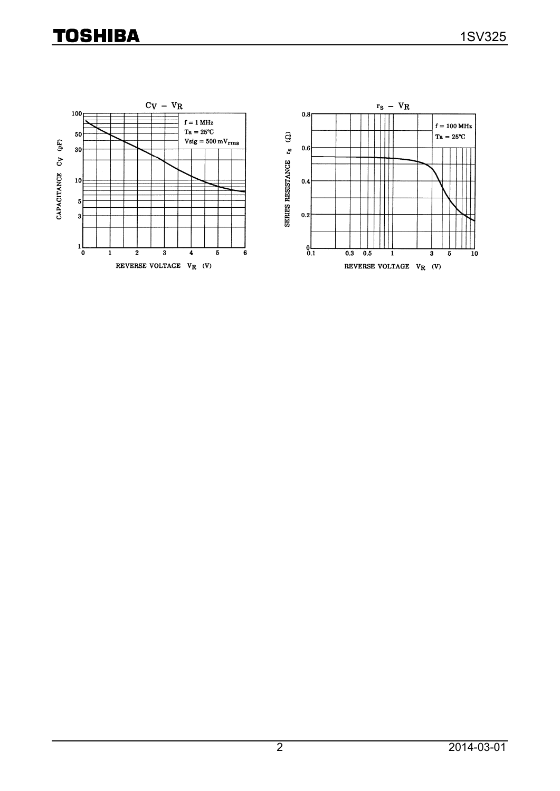